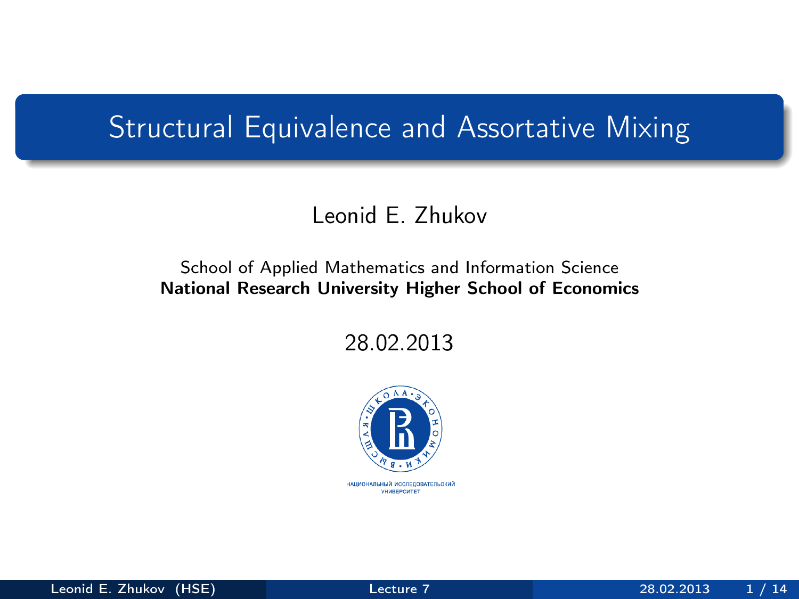## Structural Equivalence and Assortative Mixing

#### Leonid E. Zhukov

#### School of Applied Mathematics and Information Science National Research University Higher School of Economics

28.02.2013

<span id="page-0-0"></span>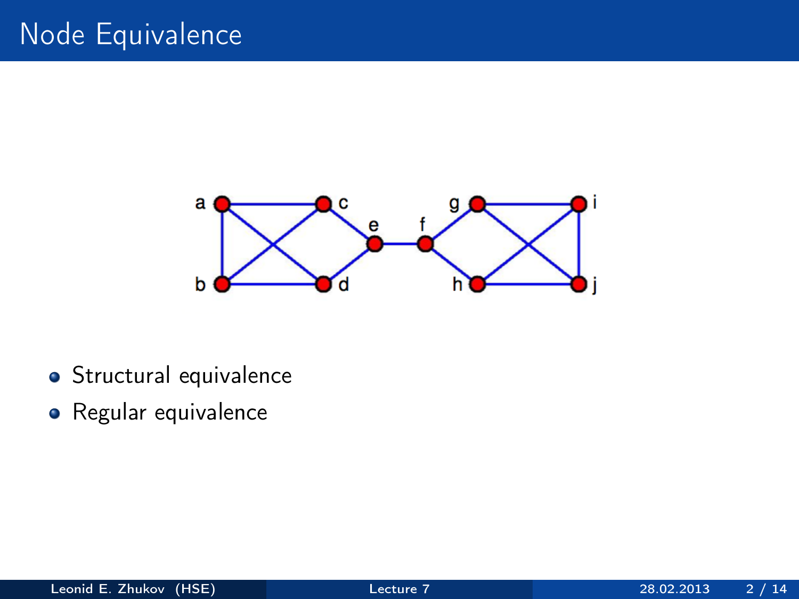

- **•** Structural equivalence
- Regular equivalence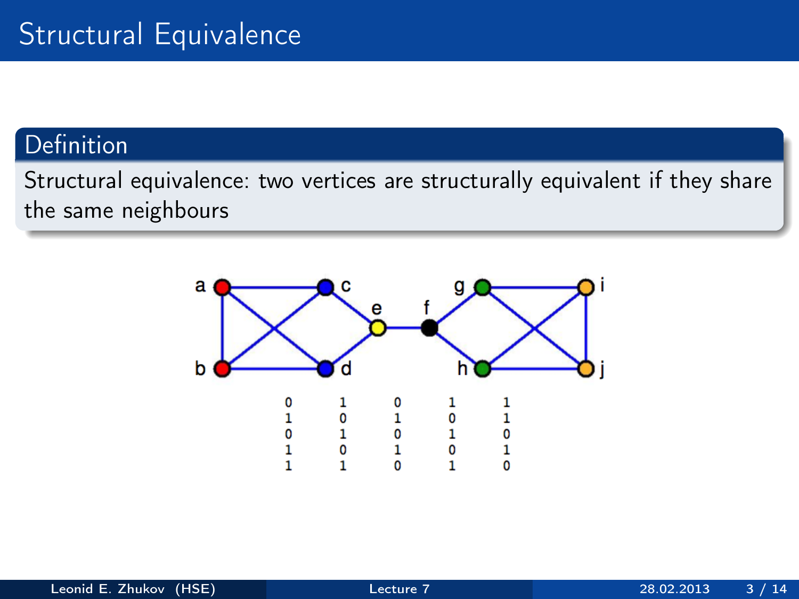#### Definition

Structural equivalence: two vertices are structurally equivalent if they shаre the same neighbours

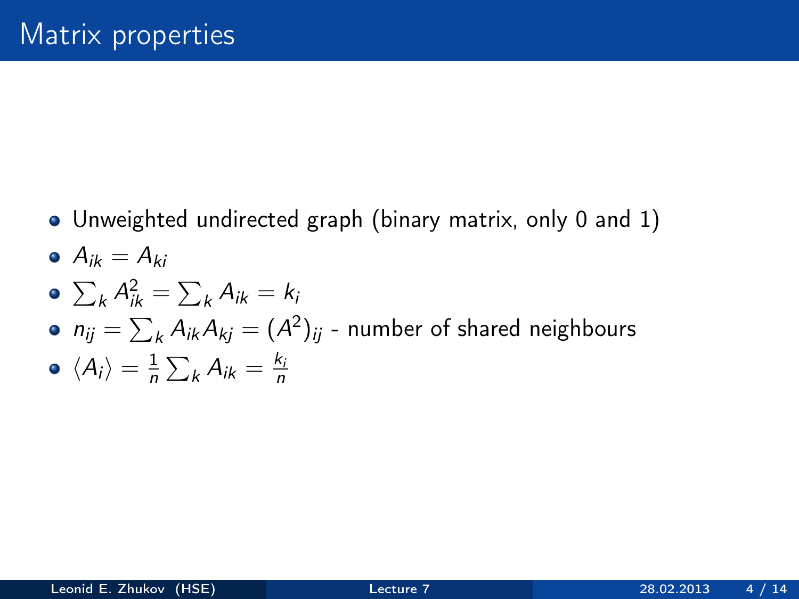Unweighted undirected graph (binary matrix, only 0 and 1)

$$
\bullet \ \ A_{ik}=A_{ki}
$$

$$
\bullet \ \sum_k A_{ik}^2 = \sum_k A_{ik} = k_i
$$

• 
$$
n_{ij} = \sum_{k} A_{ik} A_{kj} = (A^2)_{ij}
$$
 - number of shared neighbors

$$
\bullet \ \langle A_i \rangle = \frac{1}{n} \sum_k A_{ik} = \frac{k_i}{n}
$$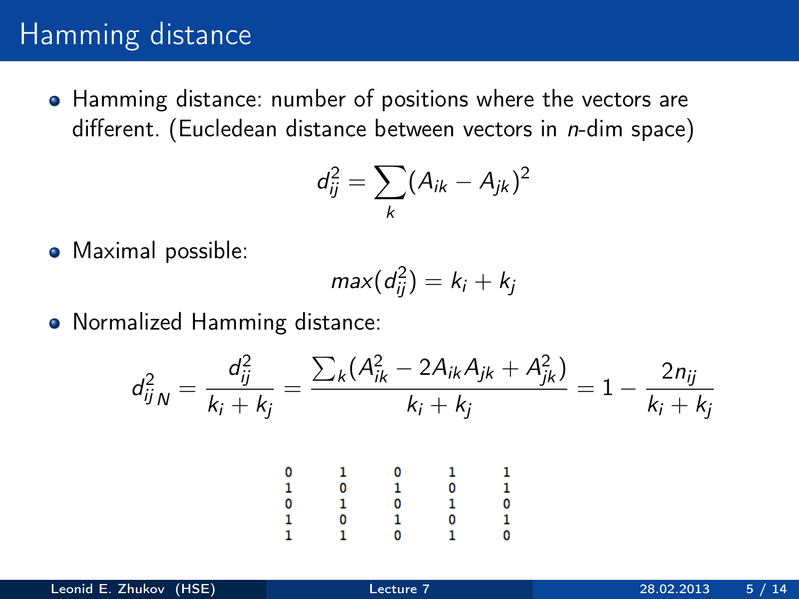## Hamming distance

• Hamming distance: number of positions where the vectors are different. (Eucledean distance between vectors in *n*-dim space)

$$
d_{ij}^2 = \sum_k (A_{ik} - A_{jk})^2
$$

• Maximal possible:

$$
max(d_{ij}^2)=k_i+k_j
$$

• Normalized Hamming distance:

$$
d_{ijN}^2 = \frac{d_{ij}^2}{k_i + k_j} = \frac{\sum_k (A_{ik}^2 - 2A_{ik}A_{jk} + A_{jk}^2)}{k_i + k_j} = 1 - \frac{2n_{ij}}{k_i + k_j}
$$
  

$$
\begin{array}{cccccc}\n0 & 1 & 0 & 1 & 1 \\
1 & 0 & 1 & 0 & 1 \\
1 & 0 & 1 & 0 & 1 \\
1 & 1 & 0 & 1 & 0 \\
1 & 1 & 0 & 1 & 0\n\end{array}
$$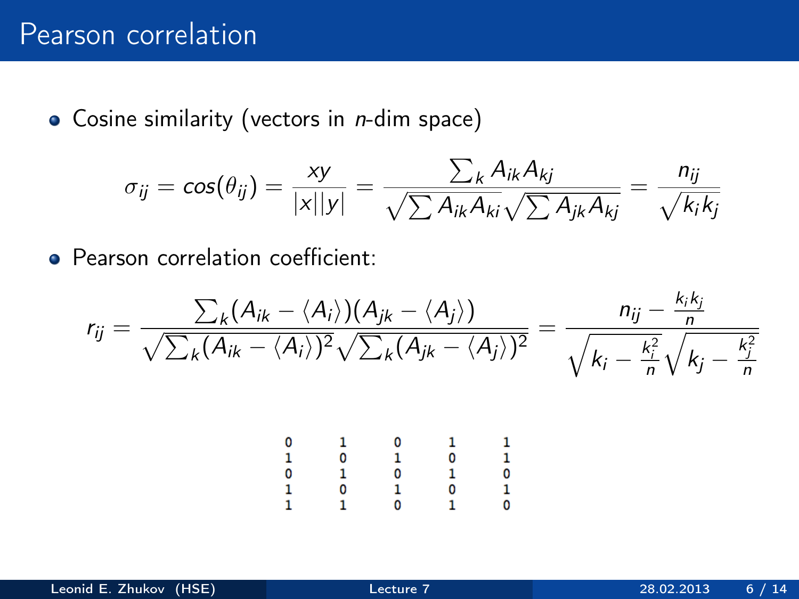$\bullet$  Cosine similarity (vectors in *n*-dim space)

$$
\sigma_{ij} = \cos(\theta_{ij}) = \frac{xy}{|x||y|} = \frac{\sum_k A_{ik} A_{kj}}{\sqrt{\sum A_{ik} A_{ki}} \sqrt{\sum A_{jk} A_{kj}}} = \frac{n_{ij}}{\sqrt{k_i k_j}}
$$

**• Pearson correlation coefficient:** 

$$
r_{ij} = \frac{\sum_{k} (A_{ik} - \langle A_i \rangle)(A_{jk} - \langle A_j \rangle)}{\sqrt{\sum_{k} (A_{ik} - \langle A_i \rangle)^2} \sqrt{\sum_{k} (A_{jk} - \langle A_j \rangle)^2}} = \frac{n_{ij} - \frac{k_i k_j}{n}}{\sqrt{k_i - \frac{k_i^2}{n}} \sqrt{k_j - \frac{k_j^2}{n}}}
$$

|       |        | 0      |        |       |
|-------|--------|--------|--------|-------|
| 01011 | 0      | r.     | ÷<br>0 | 11010 |
|       | ï<br>٠ | ô      | ä<br>٠ |       |
|       | 0      | ï<br>Ŧ | 0      |       |
|       |        | 0      |        |       |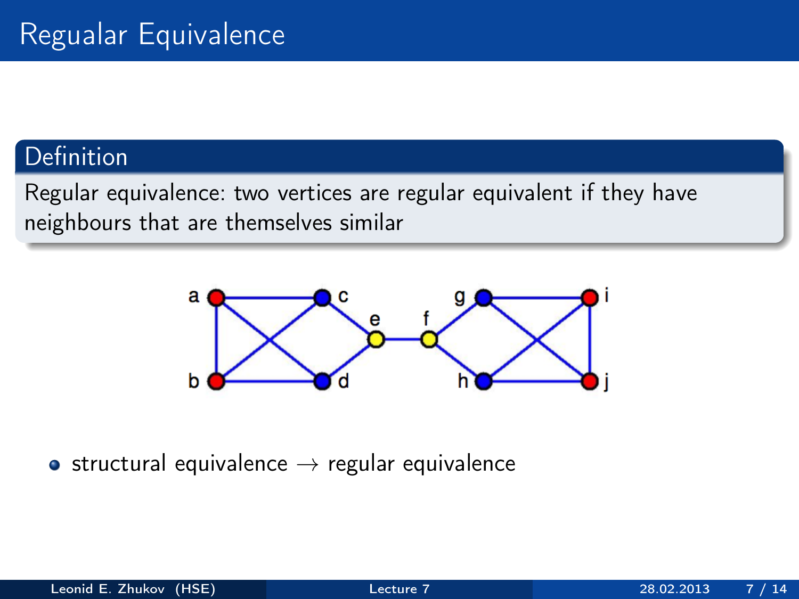#### Definition

Regular equivalence: two vertices are regular equivalent if they have neighbours that are themselves similar



• structural equivalence  $\rightarrow$  regular equivalence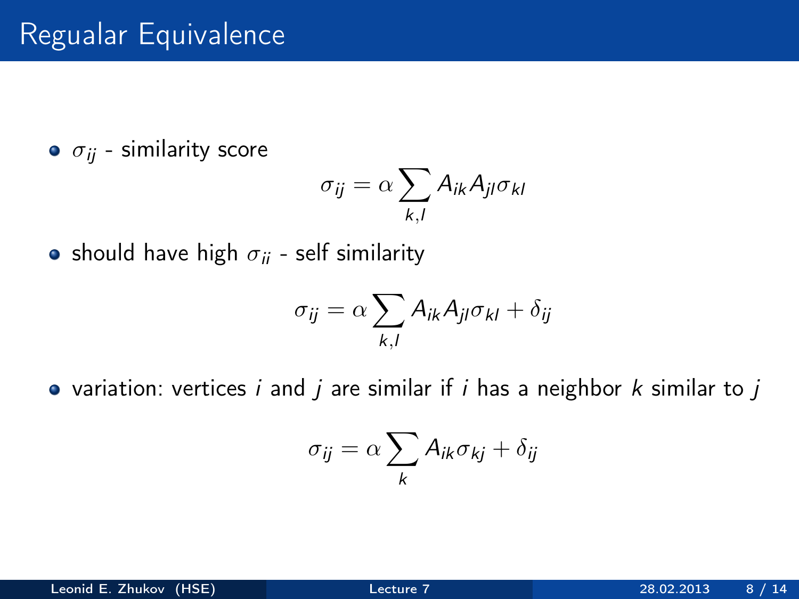# Regualar Equivalence

 $\bullet$   $\sigma_{ij}$  - similarity score

$$
\sigma_{ij} = \alpha \sum_{k,l} A_{ik} A_{jl} \sigma_{kl}
$$

• should have high  $\sigma_{ii}$  - self similarity

$$
\sigma_{ij} = \alpha \sum_{k,l} A_{ik} A_{jl} \sigma_{kl} + \delta_{ij}
$$

• variation: vertices i and j are similar if i has a neighbor  $k$  similar to j

$$
\sigma_{ij} = \alpha \sum_{k} A_{ik} \sigma_{kj} + \delta_{ij}
$$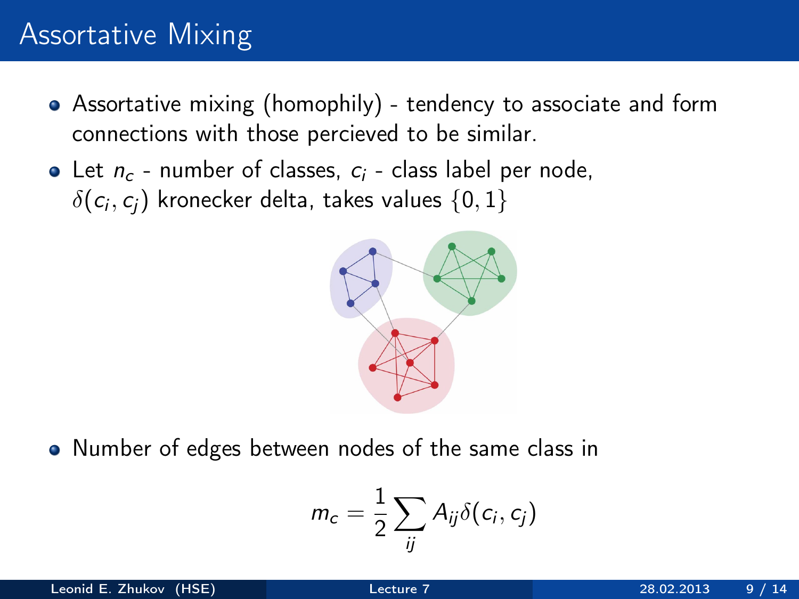# Assortative Mixing

- Assortative mixing (homophily) tendency to associate and form connections with those percieved to be similar.
- Let  $n_c$  number of classes,  $c_i$  class label per node,  $\delta(\mathit{c}_i, \mathit{c}_j)$  kronecker delta, takes values  $\{0,1\}$



• Number of edges between nodes of the same class in

$$
m_c = \frac{1}{2} \sum_{ij} A_{ij} \delta(c_i, c_j)
$$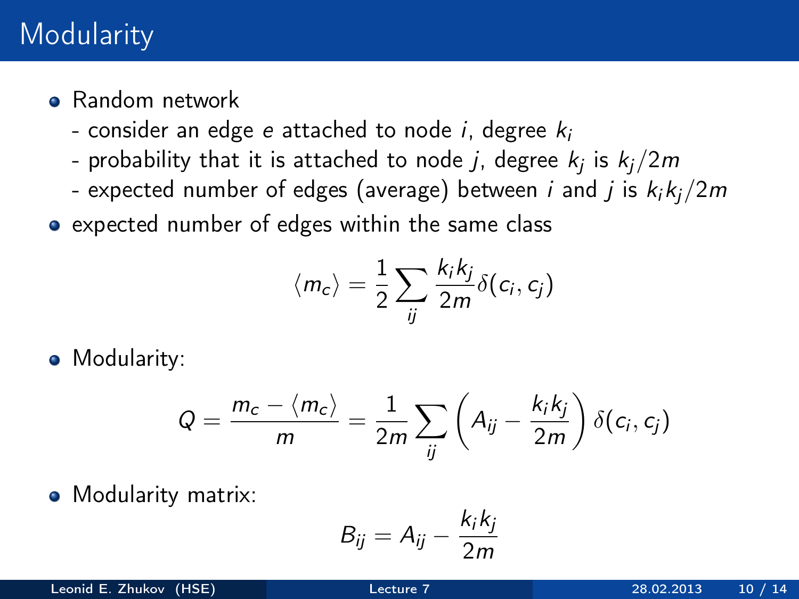## **Modularity**

- **•** Random network
	- consider an edge e attached to node i, degree  $k_i$
	- probability that it is attached to node  $j$ , degree  $k_j$  is  $k_j/2m$
	- expected number of edges (average) between *i* and *j* is  $k_i k_j / 2m$
- expected number of edges within the same class

$$
\langle m_c \rangle = \frac{1}{2} \sum_{ij} \frac{k_i k_j}{2m} \delta(c_i, c_j)
$$

• Modularity:

$$
Q = \frac{m_c - \langle m_c \rangle}{m} = \frac{1}{2m} \sum_{ij} \left( A_{ij} - \frac{k_i k_j}{2m} \right) \delta(c_i, c_j)
$$

• Modularity matrix:

$$
B_{ij} = A_{ij} - \frac{k_i k_j}{2m}
$$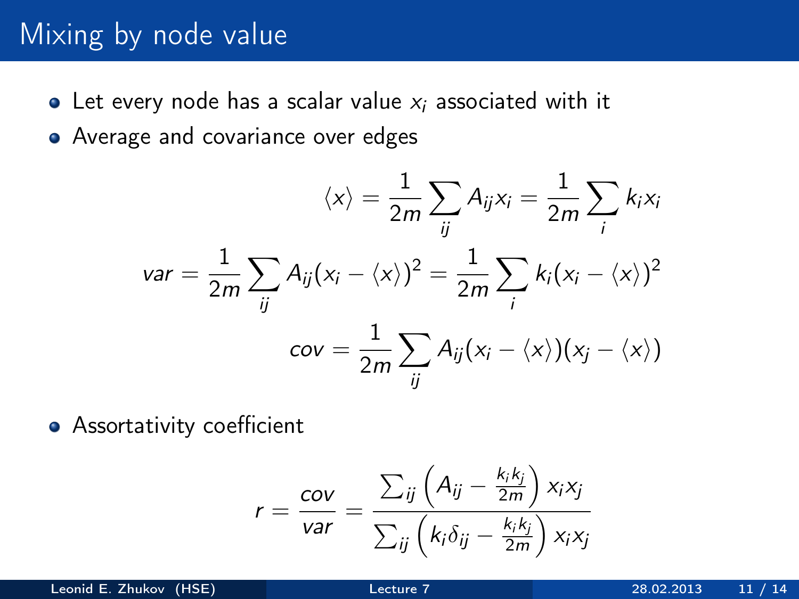## Mixing by node value

- Let every node has a scalar value  $x_i$  associated with it
- Average and covariance over edges

$$
\langle x \rangle = \frac{1}{2m} \sum_{ij} A_{ij} x_i = \frac{1}{2m} \sum_{i} k_i x_i
$$

$$
var = \frac{1}{2m} \sum_{ij} A_{ij} (x_i - \langle x \rangle)^2 = \frac{1}{2m} \sum_{i} k_i (x_i - \langle x \rangle)^2
$$

$$
cov = \frac{1}{2m} \sum_{ij} A_{ij} (x_i - \langle x \rangle) (x_j - \langle x \rangle)
$$

**•** Assortativity coefficient

$$
r = \frac{cov}{var} = \frac{\sum_{ij} \left( A_{ij} - \frac{k_i k_j}{2m} \right) x_i x_j}{\sum_{ij} \left( k_i \delta_{ij} - \frac{k_i k_j}{2m} \right) x_i x_j}
$$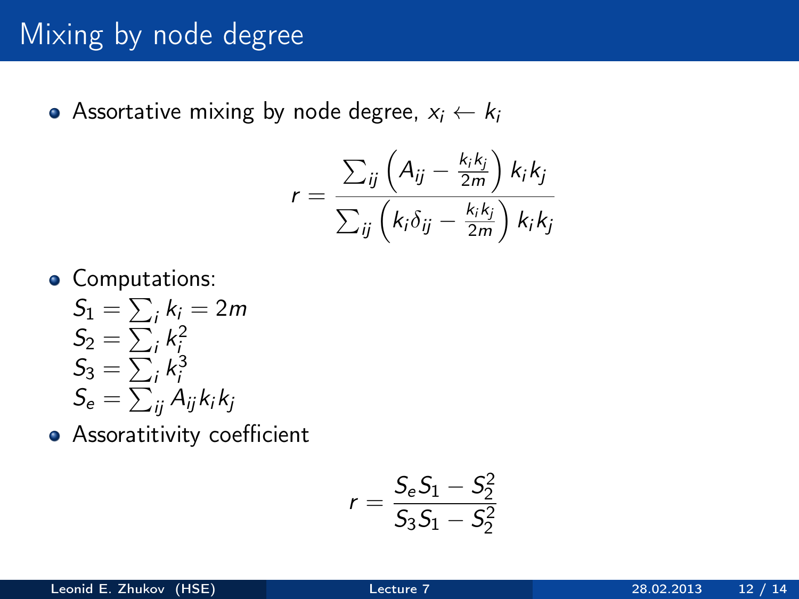# Mixing by node degree

Assortative mixing by node degree,  $x_i \leftarrow k_i$ 

$$
r = \frac{\sum_{ij} \left( A_{ij} - \frac{k_i k_j}{2m} \right) k_i k_j}{\sum_{ij} \left( k_i \delta_{ij} - \frac{k_i k_j}{2m} \right) k_i k_j}
$$

**•** Computations:

$$
S_1 = \sum_i k_i = 2m
$$
  
\n
$$
S_2 = \sum_i k_i^2
$$
  
\n
$$
S_3 = \sum_i k_i^3
$$
  
\n
$$
S_e = \sum_{ij} A_{ij} k_i k_j
$$

**•** Assoratitivity coefficient

$$
r = \frac{S_e S_1 - S_2^2}{S_3 S_1 - S_2^2}
$$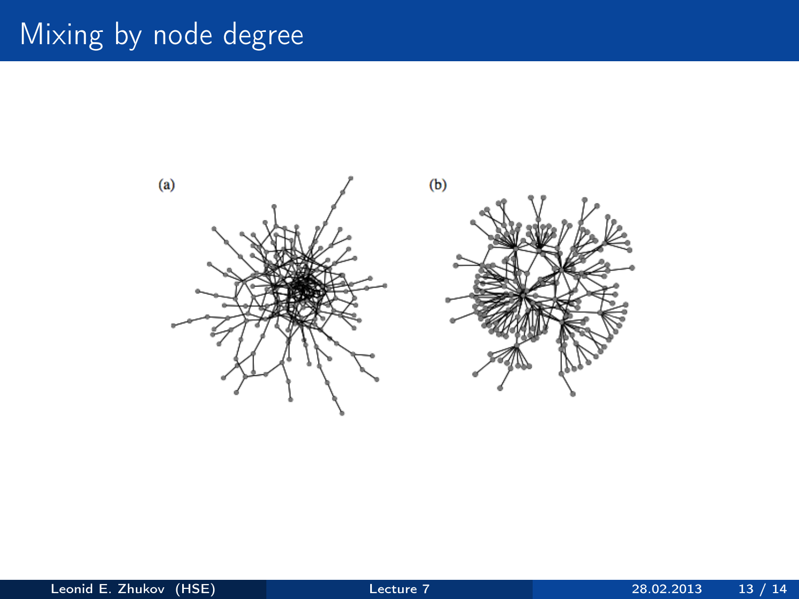# Mixing by node degree